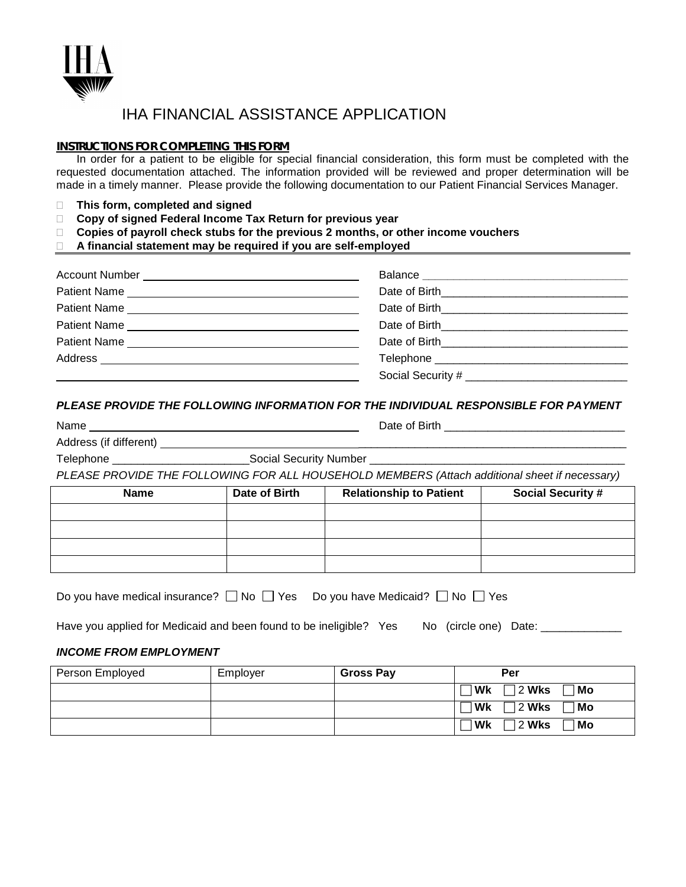

## IHA FINANCIAL ASSISTANCE APPLICATION

#### **INSTRUCTIONS FOR COMPLETING THIS FORM**

In order for a patient to be eligible for special financial consideration, this form must be completed with the requested documentation attached. The information provided will be reviewed and proper determination will be made in a timely manner. Please provide the following documentation to our Patient Financial Services Manager.

- **This form, completed and signed**
- **Copy of signed Federal Income Tax Return for previous year**
- **Copies of payroll check stubs for the previous 2 months, or other income vouchers**
- **A financial statement may be required if you are self-employed**

| Patient Name | Date of Birth <b>Example 20</b> Section 20 and 20 and 20 and 20 and 20 and 20 and 20 and 20 and 20 and 20 and 20 and 20 and 20 and 20 and 20 and 20 and 20 and 20 and 20 and 20 and 20 and 20 and 20 and 20 and 20 and 20 and 20 an  |
|--------------|--------------------------------------------------------------------------------------------------------------------------------------------------------------------------------------------------------------------------------------|
| Patient Name | Date of Birth <b>Exercise 2018</b>                                                                                                                                                                                                   |
|              | Date of Birth <b>Exercise 2008</b>                                                                                                                                                                                                   |
|              | Telephone <b>that the contract of the contract of the contract of the contract of the contract of the contract of the contract of the contract of the contract of the contract of the contract of the contract of the contract o</b> |
|              | Social Security # ____________                                                                                                                                                                                                       |

#### *PLEASE PROVIDE THE FOLLOWING INFORMATION FOR THE INDIVIDUAL RESPONSIBLE FOR PAYMENT*

| ĭ<br>×<br>ıτ<br>ĸ.<br>ч<br>-<br>× |
|-----------------------------------|
|-----------------------------------|

Name Date of Birth \_\_\_\_\_\_\_\_\_\_\_\_\_\_\_\_\_\_\_\_\_\_\_\_\_\_\_\_\_

Address (if different) \_\_\_\_\_\_\_\_\_\_\_\_\_\_\_\_\_\_\_\_\_\_\_\_\_\_\_\_\_\_\_\_\_\_\_\_\_\_\_\_\_\_\_

Telephone \_\_\_\_\_\_\_\_\_\_\_\_\_\_\_\_\_\_\_\_\_\_\_\_\_\_\_\_\_\_\_Social Security Number \_\_\_\_\_\_\_\_\_\_\_\_\_\_\_\_

*PLEASE PROVIDE THE FOLLOWING FOR ALL HOUSEHOLD MEMBERS (Attach additional sheet if necessary)*

| <b>Name</b> | Date of Birth | <b>Relationship to Patient</b> | <b>Social Security #</b> |
|-------------|---------------|--------------------------------|--------------------------|
|             |               |                                |                          |
|             |               |                                |                          |
|             |               |                                |                          |
|             |               |                                |                          |

| Do you have medical insurance? $\Box$ No $\Box$ Yes Do you have Medicaid? $\Box$ No $\Box$ Yes |  |  |  |  |
|------------------------------------------------------------------------------------------------|--|--|--|--|
|------------------------------------------------------------------------------------------------|--|--|--|--|

Have you applied for Medicaid and been found to be ineligible? Yes No (circle one) Date: \_\_\_\_\_\_\_\_\_\_\_

### *INCOME FROM EMPLOYMENT*

| Person Employed | Employer | <b>Gross Pay</b> |      | Per                   |
|-----------------|----------|------------------|------|-----------------------|
|                 |          |                  | ∣ Wk | 2 Wks<br>⊺Mo          |
|                 |          |                  | Wk   | $\sqrt{2}$ Wks<br>⊺Mo |
|                 |          |                  | Wk   | 2 Wks<br>⊺Mo          |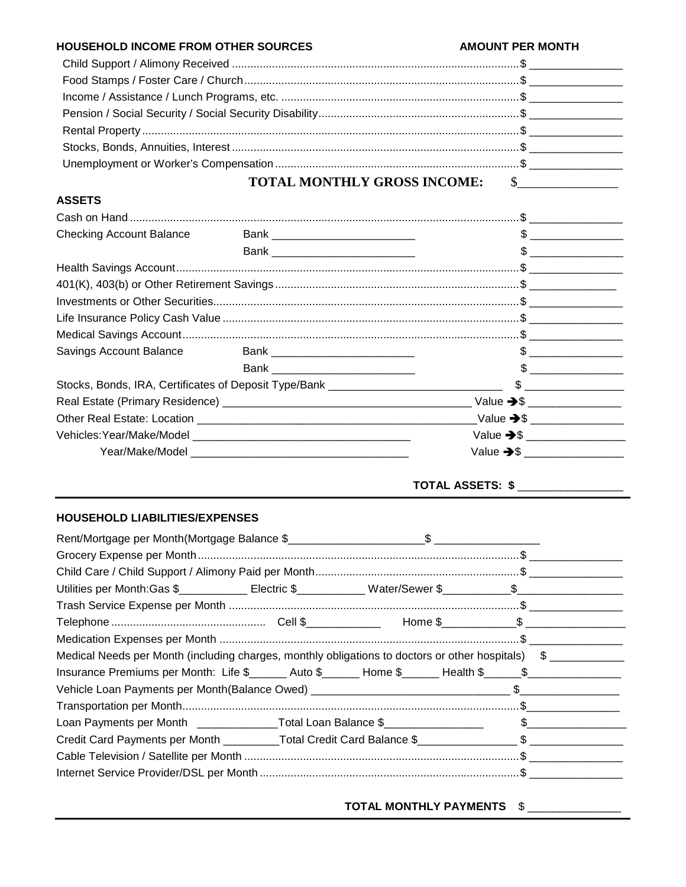#### HOUSEHOLD INCOME FROM OTHER SOURCES **AMOUNT PER MONTH TOTAL MONTHLY GROSS INCOME:**  $\sim$

#### **ASSETS**

| Checking Account Balance |                                   | $\frac{1}{2}$          |
|--------------------------|-----------------------------------|------------------------|
|                          |                                   |                        |
|                          |                                   |                        |
|                          |                                   |                        |
|                          |                                   |                        |
|                          |                                   |                        |
|                          |                                   |                        |
| Savings Account Balance  | Bank ___________________________  | $\frac{1}{2}$          |
|                          | Bank ____________________________ | $\mathfrak{S}$         |
|                          |                                   |                        |
|                          |                                   |                        |
|                          |                                   |                        |
|                          |                                   | Value $\rightarrow$ \$ |
|                          |                                   |                        |
|                          |                                   |                        |

# **TOTAL ASSETS: \$**

#### HOUSEHOLD LIABILITIES/EXPENSES

|  | Utilities per Month:Gas \$_____________Electric \$____________Water/Sewer \$___________\$____________________<br>Medical Needs per Month (including charges, monthly obligations to doctors or other hospitals) \$<br>Insurance Premiums per Month: Life \$______ Auto \$______ Home \$_____ Health \$_____\$___________<br>Loan Payments per Month ______________Total Loan Balance \$_______________________ \$________<br>Credit Card Payments per Month _________Total Credit Card Balance \$________________\$ ______________ |
|--|------------------------------------------------------------------------------------------------------------------------------------------------------------------------------------------------------------------------------------------------------------------------------------------------------------------------------------------------------------------------------------------------------------------------------------------------------------------------------------------------------------------------------------|

TOTAL MONTHLY PAYMENTS \$